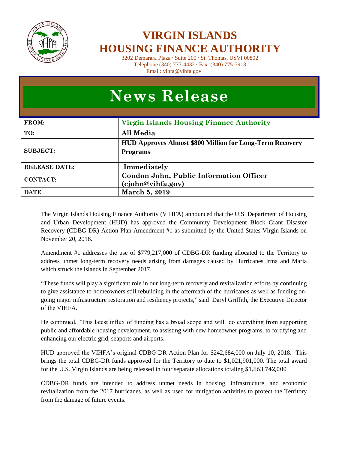

## **VIRGIN ISLANDS HOUSING FINANCE AUTHORITY**

3202 Demarara Plaza **∙** Suite 200 **∙** St. Thomas, USVI 00802 Telephone (340) 777-4432 **∙** Fax: (340) 775-7913 Email: vihfa@vihfa.gov

| <b>News Release</b>  |                                                                                    |  |  |
|----------------------|------------------------------------------------------------------------------------|--|--|
| <b>FROM:</b>         | <b>Virgin Islands Housing Finance Authority</b>                                    |  |  |
| TO:                  | All Media                                                                          |  |  |
| <b>SUBJECT:</b>      | <b>HUD Approves Almost \$800 Million for Long-Term Recovery</b><br><b>Programs</b> |  |  |
| <b>RELEASE DATE:</b> | Immediately                                                                        |  |  |
| <b>CONTACT:</b>      | Condon John, Public Information Officer<br>(cjohn@vihfa.gov)                       |  |  |
| <b>DATE</b>          | March 5, 2019                                                                      |  |  |

The Virgin Islands Housing Finance Authority (VIHFA) announced that the U.S. Department of Housing and Urban Development (HUD) has approved the Community Development Block Grant Disaster Recovery (CDBG-DR) Action Plan Amendment #1 as submitted by the United States Virgin Islands on November 20, 2018.

Amendment #1 addresses the use of \$779,217,000 of CDBG-DR funding allocated to the Territory to address unmet long-term recovery needs arising from damages caused by Hurricanes Irma and Maria which struck the islands in September 2017.

"These funds will play a significant role in our long-term recovery and revitalization efforts by continuing to give assistance to homeowners still rebuilding in the aftermath of the hurricanes as well as funding ongoing major infrastructure restoration and resiliency projects," said Daryl Griffith, the Executive Director of the VIHFA.

He continued, "This latest influx of funding has a broad scope and will do everything from supporting public and affordable housing development, to assisting with new homeowner programs, to fortifying and enhancing our electric grid, seaports and airports.

HUD approved the VIHFA's original CDBG-DR Action Plan for \$242,684,000 on July 10, 2018. This brings the total CDBG-DR funds approved for the Territory to date to \$1,021,901,000. The total award for the U.S. Virgin Islands are being released in four separate allocations totaling \$1,863,742,000

CDBG-DR funds are intended to address unmet needs in housing, infrastructure, and economic revitalization from the 2017 hurricanes, as well as used for mitigation activities to protect the Territory from the damage of future events.